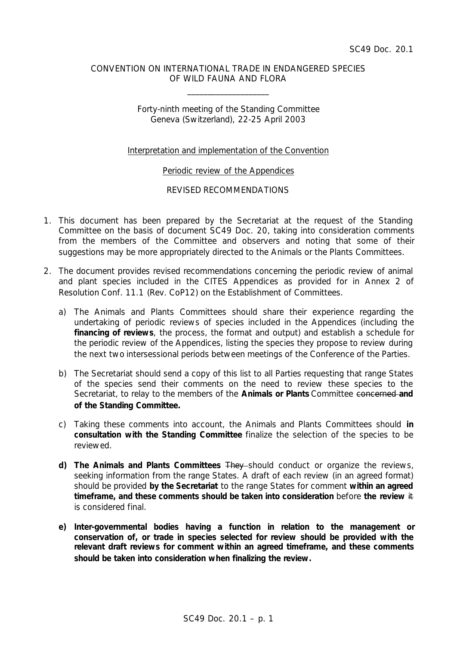### CONVENTION ON INTERNATIONAL TRADE IN ENDANGERED SPECIES OF WILD FAUNA AND FLORA

\_\_\_\_\_\_\_\_\_\_\_\_\_\_\_\_\_\_\_\_

# Forty-ninth meeting of the Standing Committee Geneva (Switzerland), 22-25 April 2003

# Interpretation and implementation of the Convention

### Periodic review of the Appendices

## REVISED RECOMMENDATIONS

- 1. This document has been prepared by the Secretariat at the request of the Standing Committee on the basis of document SC49 Doc. 20, taking into consideration comments from the members of the Committee and observers and noting that some of their suggestions may be more appropriately directed to the Animals or the Plants Committees.
- 2. The document provides revised recommendations concerning the periodic review of animal and plant species included in the CITES Appendices as provided for in Annex 2 of Resolution Conf. 11.1 (Rev. CoP12) on the Establishment of Committees.
	- a) The Animals and Plants Committees should share their experience regarding the undertaking of periodic reviews of species included in the Appendices (including the **financing of reviews**, the process, the format and output) and establish a schedule for the periodic review of the Appendices, listing the species they propose to review during the next two intersessional periods between meetings of the Conference of the Parties.
	- b) The Secretariat should send a copy of this list to all Parties requesting that range States of the species send their comments on the need to review these species to the Secretariat, to relay to the members of the **Animals or Plants** Committee concerned **and of the Standing Committee.**
	- c) Taking these comments into account, the Animals and Plants Committees should **in consultation with the Standing Committee** finalize the selection of the species to be reviewed.
	- **d) The Animals and Plants Committees** They should conduct or organize the reviews, seeking information from the range States. A draft of each review (in an agreed format) should be provided **by the Secretariat** to the range States for comment **within an agreed timeframe, and these comments should be taken into consideration** before **the review** it is considered final.
	- **e) Inter-governmental bodies having a function in relation to the management or conservation of, or trade in species selected for review should be provided with the relevant draft reviews for comment within an agreed timeframe, and these comments should be taken into consideration when finalizing the review.**